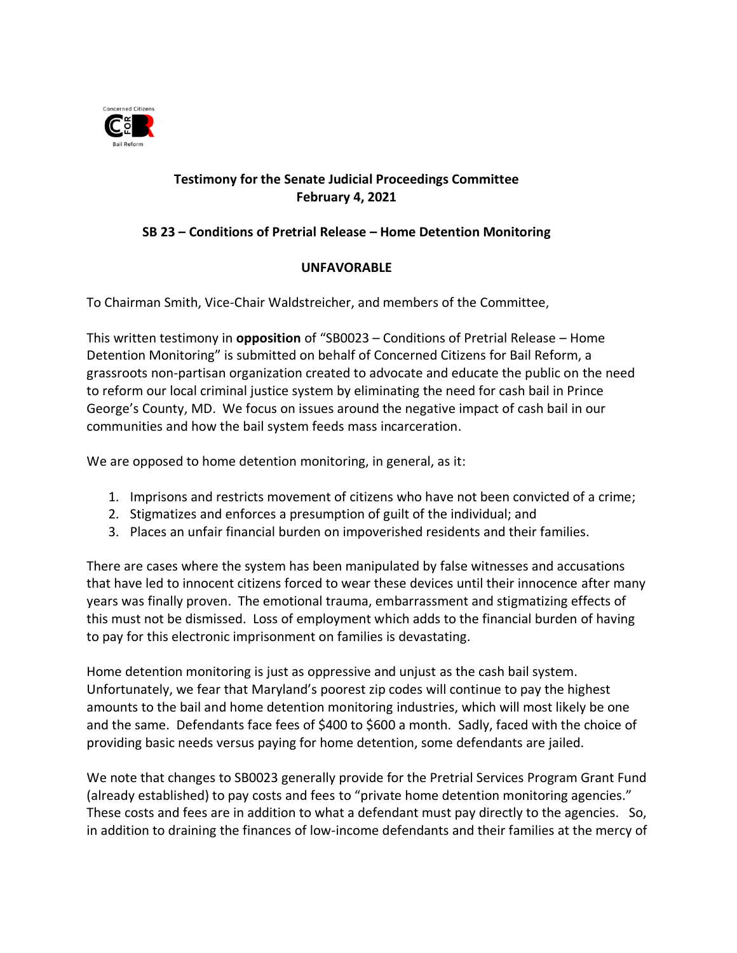

## **Testimony for the Senate Judicial Proceedings Committee February 4, 2021**

## **SB 23 – Conditions of Pretrial Release – Home Detention Monitoring**

## **UNFAVORABLE**

To Chairman Smith, Vice-Chair Waldstreicher, and members of the Committee,

This written testimony in **opposition** of "SB0023 – Conditions of Pretrial Release – Home Detention Monitoring" is submitted on behalf of Concerned Citizens for Bail Reform, a grassroots non-partisan organization created to advocate and educate the public on the need to reform our local criminal justice system by eliminating the need for cash bail in Prince George's County, MD. We focus on issues around the negative impact of cash bail in our communities and how the bail system feeds mass incarceration.

We are opposed to home detention monitoring, in general, as it:

- 1. Imprisons and restricts movement of citizens who have not been convicted of a crime;
- 2. Stigmatizes and enforces a presumption of guilt of the individual; and
- 3. Places an unfair financial burden on impoverished residents and their families.

There are cases where the system has been manipulated by false witnesses and accusations that have led to innocent citizens forced to wear these devices until their innocence after many years was finally proven. The emotional trauma, embarrassment and stigmatizing effects of this must not be dismissed. Loss of employment which adds to the financial burden of having to pay for this electronic imprisonment on families is devastating.

Home detention monitoring is just as oppressive and unjust as the cash bail system. Unfortunately, we fear that Maryland's poorest zip codes will continue to pay the highest amounts to the bail and home detention monitoring industries, which will most likely be one and the same. Defendants face fees of \$400 to \$600 a month. Sadly, faced with the choice of providing basic needs versus paying for home detention, some defendants are jailed.

We note that changes to SB0023 generally provide for the Pretrial Services Program Grant Fund (already established) to pay costs and fees to "private home detention monitoring agencies." These costs and fees are in addition to what a defendant must pay directly to the agencies. So, in addition to draining the finances of low-income defendants and their families at the mercy of